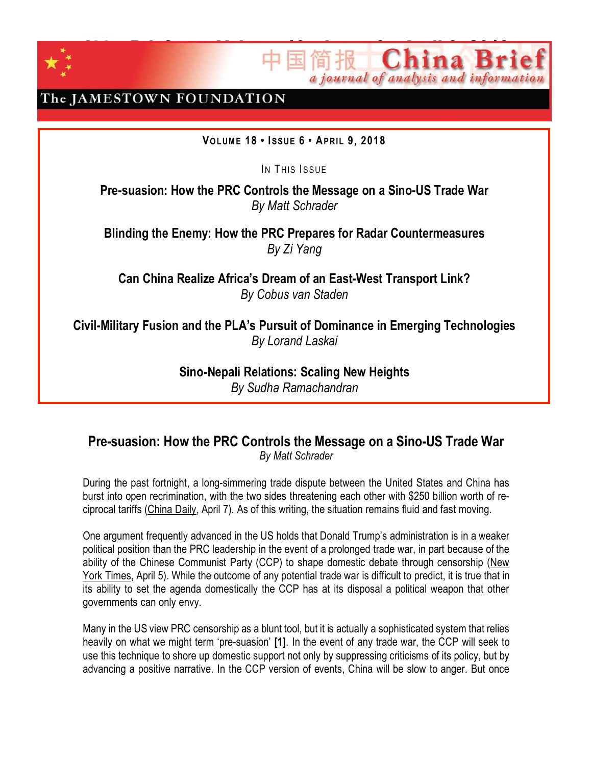

ChinaBrief Volume 18 • Issue 6 • April 9, 2018 a journal of analysis and information

## The JAMESTOWN FOUNDATION

### **VO LUM E 18 • ISSUE 6 • APRI L 9, 2018**

IN THIS ISSUE

**Pre-suasion: How the PRC Controls the Message on a Sino-US Trade War** *By Matt Schrader*

**Blinding the Enemy: How the PRC Prepares for Radar Countermeasures** *By Zi Yang*

**Can China Realize Africa's Dream of an East-West Transport Link?** *By Cobus van Staden*

**Civil-Military Fusion and the PLA's Pursuit of Dominance in Emerging Technologies** *By Lorand Laskai*

> **Sino-Nepali Relations: Scaling New Heights** *By Sudha Ramachandran*

### **Pre-suasion: How the PRC Controls the Message on a Sino-US Trade War** *By Matt Schrader*

During the past fortnight, a long-simmering trade dispute between the United States and China has burst into open recrimination, with the two sides threatening each other with \$250 billion worth of reciprocal tariffs [\(China](http://usa.chinadaily.com.cn/a/201804/07/WS5ac7eeaaa3105cdcf6516892.html) Daily, April 7). As of this writing, the situation remains fluid and fast moving.

One argument frequently advanced in the US holds that Donald Trump's administration is in a weaker political position than the PRC leadership in the event of a prolonged trade war, in part because of the ability of the Chinese Communist Party (CCP) to shape domestic debate through censorship [\(New](https://www.nytimes.com/2018/04/05/world/asia/china-trade-war-trump-tariffs.html) York [Times,](https://www.nytimes.com/2018/04/05/world/asia/china-trade-war-trump-tariffs.html) April 5). While the outcome of any potential trade war is difficult to predict, it is true that in its ability to set the agenda domestically the CCP has at its disposal a political weapon that other governments can only envy.

Many in the US view PRC censorship as a blunt tool, but it is actually a sophisticated system that relies heavily on what we might term 'pre-suasion' **[1]**. In the event of any trade war, the CCP will seek to use this technique to shore up domestic support not only by suppressing criticisms of its policy, but by advancing a positive narrative. In the CCP version of events, China will be slow to anger. But once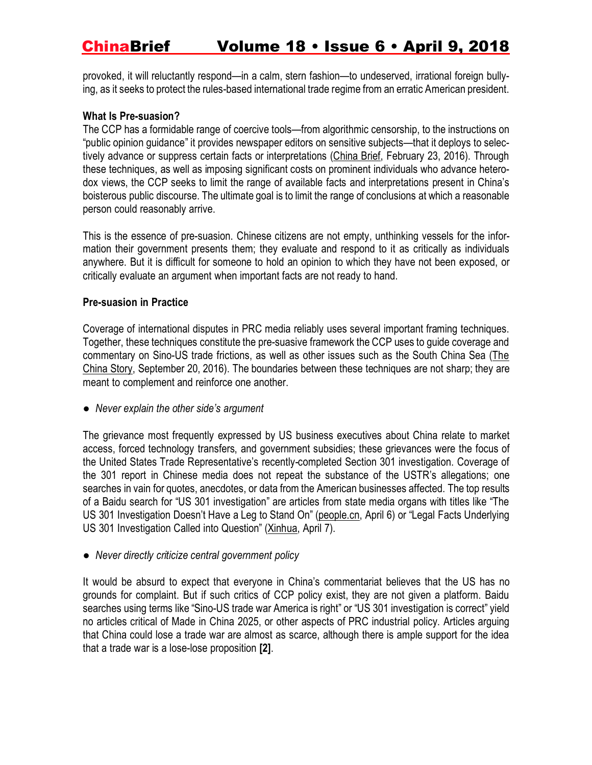provoked, it will reluctantly respond—in a calm, stern fashion—to undeserved, irrational foreign bullying, as it seeks to protect the rules-based international trade regime from an erratic American president.

#### **What Is Pre-suasion?**

The CCP has a formidable range of coercive tools—from algorithmic censorship, to the instructions on "public opinion guidance" it provides newspaper editors on sensitive subjects—that it deploys to selectively advance or suppress certain facts or interpretations [\(China](https://jamestown.org/program/in-a-fortnight-xi-jinping-exhorts-media-to-follow-the-partys-guidance-sino-u-s-competition-for-influence-in-southeast-asia-intensifies/) Brief, February 23, 2016). Through these techniques, as well as imposing significant costs on prominent individuals who advance heterodox views, the CCP seeks to limit the range of available facts and interpretations present in China's boisterous public discourse. The ultimate goal is to limit the range of conclusions at which a reasonable person could reasonably arrive.

This is the essence of pre-suasion. Chinese citizens are not empty, unthinking vessels for the information their government presents them; they evaluate and respond to it as critically as individuals anywhere. But it is difficult for someone to hold an opinion to which they have not been exposed, or critically evaluate an argument when important facts are not ready to hand.

### **Pre-suasion in Practice**

Coverage of international disputes in PRC media reliably uses several important framing techniques. Together, these techniques constitute the pre-suasive framework the CCP uses to guide coverage and commentary on Sino-US trade frictions, as well as other issues such as the South China Sea [\(The](https://www.thechinastory.org/2016/09/chinas-media-on-the-south-china-sea-ruling/) [China](https://www.thechinastory.org/2016/09/chinas-media-on-the-south-china-sea-ruling/) Story, September 20, 2016). The boundaries between these techniques are not sharp; they are meant to complement and reinforce one another.

*● Never explain the other side's argument*

The grievance most frequently expressed by US business executives about China relate to market access, forced technology transfers, and government subsidies; these grievances were the focus of the United States Trade Representative's recently-completed Section 301 investigation. Coverage of the 301 report in Chinese media does not repeat the substance of the USTR's allegations; one searches in vain for quotes, anecdotes, or data from the American businesses affected. The top results of a Baidu search for "US 301 investigation" are articles from state media organs with titles like "The US 301 Investigation Doesn't Have a Leg to Stand On" [\(people.cn,](http://world.people.com.cn/n1/2018/0406/c1002-29909424.html) April 6) or "Legal Facts Underlying US 301 Investigation Called into Question" [\(Xinhua,](http://www.xinhuanet.com/mrdx/2018-04/07/c_137093341.htm) April 7).

*● Never directly criticize central government policy*

It would be absurd to expect that everyone in China's commentariat believes that the US has no grounds for complaint. But if such critics of CCP policy exist, they are not given a platform. Baidu searches using terms like "Sino-US trade war America is right" or "US 301 investigation is correct" yield no articles critical of Made in China 2025, or other aspects of PRC industrial policy. Articles arguing that China could lose a trade war are almost as scarce, although there is ample support for the idea that a trade war is a lose-lose proposition **[2]**.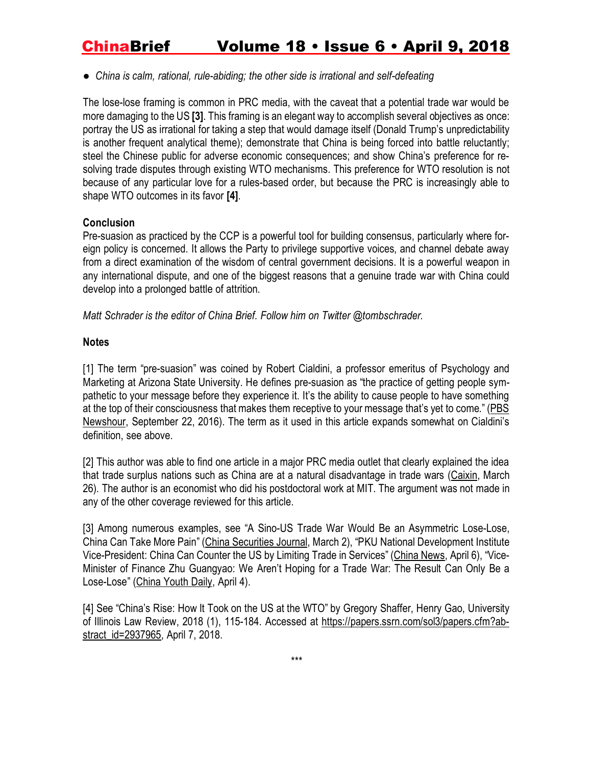*● China is calm, rational, rule-abiding; the other side is irrational and self-defeating*

The lose-lose framing is common in PRC media, with the caveat that a potential trade war would be more damaging to the US **[3]**. This framing is an elegant way to accomplish several objectives as once: portray the US as irrational for taking a step that would damage itself (Donald Trump's unpredictability is another frequent analytical theme); demonstrate that China is being forced into battle reluctantly; steel the Chinese public for adverse economic consequences; and show China's preference for resolving trade disputes through existing WTO mechanisms. This preference for WTO resolution is not because of any particular love for a rules-based order, but because the PRC is increasingly able to shape WTO outcomes in its favor **[4]**.

#### **Conclusion**

Pre-suasion as practiced by the CCP is a powerful tool for building consensus, particularly where foreign policy is concerned. It allows the Party to privilege supportive voices, and channel debate away from a direct examination of the wisdom of central government decisions. It is a powerful weapon in any international dispute, and one of the biggest reasons that a genuine trade war with China could develop into a prolonged battle of attrition.

*Matt Schrader is the editor of China Brief. Follow him on Twitter @tombschrader.*

### **Notes**

[1] The term "pre-suasion" was coined by Robert Cialdini, a professor emeritus of Psychology and Marketing at Arizona State [University.](https://en.wikipedia.org/wiki/Arizona_State_University) He defines pre-suasion as "the practice of getting people sympathetic to your message before they experience it. It's the ability to cause people to have something at the top of their consciousness that makes them receptive to your message that's yet to come." [\(PBS](https://www.pbs.org/newshour/economy/whats-pre-suasion-marketers-make-us-receptive-ad) [Newshour,](https://www.pbs.org/newshour/economy/whats-pre-suasion-marketers-make-us-receptive-ad) September 22, 2016). The term as it used in this article expands somewhat on Cialdini's definition, see above.

[2] This author was able to find one article in a major PRC media outlet that clearly explained the idea that trade surplus nations such as China are at a natural disadvantage in trade wars [\(Caixin,](http://opinion.caixin.com/2018-03-26/101226527.html) March 26). The author is an economist who did his postdoctoral work at MIT. The argument was not made in any of the other coverage reviewed for this article.

[3] Among numerous examples, see "A Sino-US Trade War Would Be an Asymmetric Lose-Lose, China Can Take More Pain" (China [Securities](http://finance.ifeng.com/a/20180402/16055286_0.shtml) Journal, March 2), "PKU National Development Institute Vice-President: China Can Counter the US by Limiting Trade in Services" [\(China](http://www.chinanews.com/gn/2018/04-06/8484694.shtml) News, April 6), "Vice-Minister of Finance Zhu Guangyao: We Aren't Hoping for a Trade War: The Result Can Only Be a Lose-Lose" [\(China](http://news.cyol.com/yuanchuang/2018-04/04/content_17074879.htm) Youth Daily, April 4).

[4] See "China's Rise: How It Took on the US at the WTO" by Gregory Shaffer, Henry Gao, [University](https://papers.ssrn.com/sol3/papers.cfm?abstract_id=2937965##) of Illinois Law Review, 2018 (1), [115-184.](https://papers.ssrn.com/sol3/papers.cfm?abstract_id=2937965##) Accessed at [https://papers.ssrn.com/sol3/papers.cfm?ab](https://papers.ssrn.com/sol3/papers.cfm?abstract_id=2937965)[stract\\_id=2937965,](https://papers.ssrn.com/sol3/papers.cfm?abstract_id=2937965) April 7, 2018.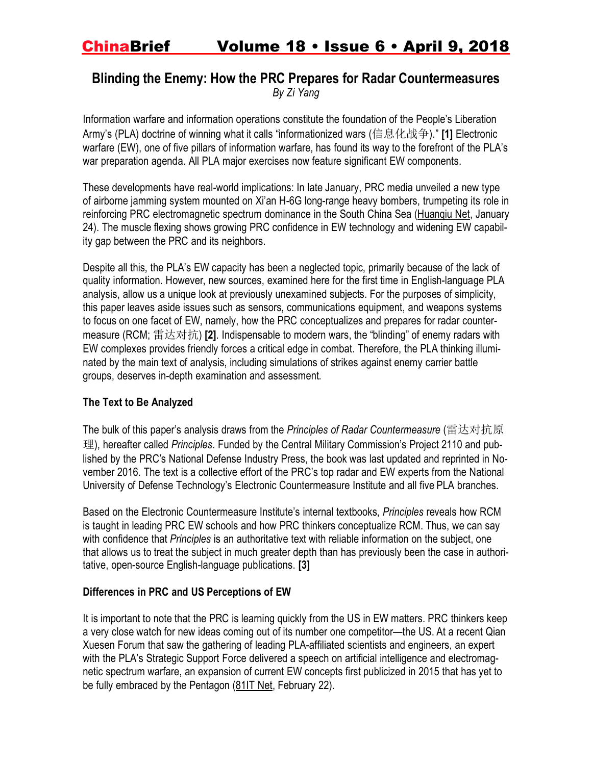## **Blinding the Enemy: How the PRC Prepares for Radar Countermeasures** *By Zi Yang*

Information warfare and information operations constitute the foundation of the People's Liberation Army's (PLA) doctrine of winning what it calls "informationized wars (信息化战争)." **[1]** Electronic warfare (EW), one of five pillars of information warfare, has found its way to the forefront of the PLA's war preparation agenda. All PLA major exercises now feature significant EW components.

These developments have real-world implications: In late January, PRC media unveiled a new type of airborne jamming system mounted on Xi'an H-6G long-range heavy bombers, trumpeting its role in reinforcing PRC electromagnetic spectrum dominance in the South China Sea [\(Huanqiu](http://mil.huanqiu.com/world/2018-01/11548977.html) Net, January 24). The muscle flexing shows growing PRC confidence in EW technology and widening EW capability gap between the PRC and its neighbors.

Despite all this, the PLA's EW capacity has been a neglected topic, primarily because of the lack of quality information. However, new sources, examined here for the first time in English-language PLA analysis, allow us a unique look at previously unexamined subjects. For the purposes of simplicity, this paper leaves aside issues such as sensors, communications equipment, and weapons systems to focus on one facet of EW, namely, how the PRC conceptualizes and prepares for radar countermeasure (RCM; 雷达对抗) **[2]**. Indispensable to modern wars, the "blinding" of enemy radars with EW complexes provides friendly forces a critical edge in combat. Therefore, the PLA thinking illuminated by the main text of analysis, including simulations of strikes against enemy carrier battle groups, deserves in-depth examination and assessment.

### **The Text to Be Analyzed**

The bulk of this paper's analysis draws from the *Principles of Radar Countermeasure* (雷达对抗原 理), hereafter called *Principles*. Funded by the Central Military Commission's Project 2110 and published by the PRC's National Defense Industry Press, the book was last updated and reprinted in November 2016. The text is a collective effort of the PRC's top radar and EW experts from the National University of Defense Technology's Electronic Countermeasure Institute and all five PLA branches.

Based on the Electronic Countermeasure Institute's internal textbooks, *Principles* reveals how RCM is taught in leading PRC EW schools and how PRC thinkers conceptualize RCM. Thus, we can say with confidence that *Principles* is an authoritative text with reliable information on the subject, one that allows us to treat the subject in much greater depth than has previously been the case in authoritative, open-source English-language publications. **[3]**

### **Differences in PRC and US Perceptions of EW**

It is important to note that the PRC is learning quickly from the US in EW matters. PRC thinkers keep a very close watch for new ideas coming out of its number one competitor—the US. At a recent Qian Xuesen Forum that saw the gathering of leading PLA-affiliated scientists and engineers, an expert with the PLA's Strategic Support Force delivered a speech on artificial intelligence and electromagnetic spectrum warfare, an expansion of current EW concepts first publicized in 2015 that has yet to be fully embraced by the Pentagon [\(81IT](http://www.81it.com/2018/0222/8552.html) Net, February 22).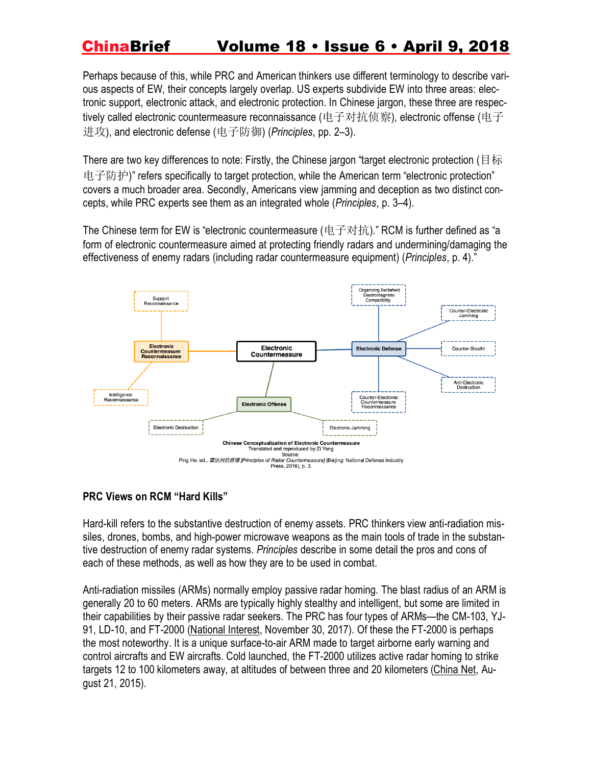Perhaps because of this, while PRC and American thinkers use different terminology to describe various aspects of EW, their concepts largely overlap. US experts subdivide EW into three areas: electronic support, electronic attack, and electronic protection. In Chinese jargon, these three are respectively called electronic countermeasure reconnaissance (电子对抗侦察), electronic offense (电子 进攻), and electronic defense (电子防御) (*Principles*, pp. 2–3).

There are two key differences to note: Firstly, the Chinese jargon "target electronic protection (目标 电子防护)" refers specifically to target protection, while the American term "electronic protection" covers a much broader area. Secondly, Americans view jamming and deception as two distinct concepts, while PRC experts see them as an integrated whole (*Principles*, p. 3–4).

The Chinese term for EW is "electronic countermeasure (电子对抗)." RCM is further defined as "a form of electronic countermeasure aimed at protecting friendly radars and undermining/damaging the effectiveness of enemy radars (including radar countermeasure equipment) (*Principles*, p. 4)."



### **PRC Views on RCM "Hard Kills"**

Hard-kill refers to the substantive destruction of enemy assets. PRC thinkers view anti-radiation missiles, drones, bombs, and high-power microwave weapons as the main tools of trade in the substantive destruction of enemy radar systems. *Principles* describe in some detail the pros and cons of each of these methods, as well as how they are to be used in combat.

Anti-radiation missiles (ARMs) normally employ passive radar homing. The blast radius of an ARM is generally 20 to 60 meters. ARMs are typically highly stealthy and intelligent, but some are limited in their capabilities by their passive radar seekers. The PRC has four types of ARMs—the CM-103, YJ-91, LD-10, and FT-2000 [\(National](http://nationalinterest.org/blog/the-buzz/chinas-new-j-16d-aircraft-might-have-terrifying-new-military-23427) Interest, November 30, 2017). Of these the FT-2000 is perhaps the most noteworthy. It is a unique surface-to-air ARM made to target airborne early warning and control aircrafts and EW aircrafts. Cold launched, the FT-2000 utilizes active radar homing to strike targets 12 to 100 kilometers away, at altitudes of between three and 20 kilometers [\(China](http://military.china.com.cn/2015-08/21/content_36362025.htm) Net, August 21, 2015).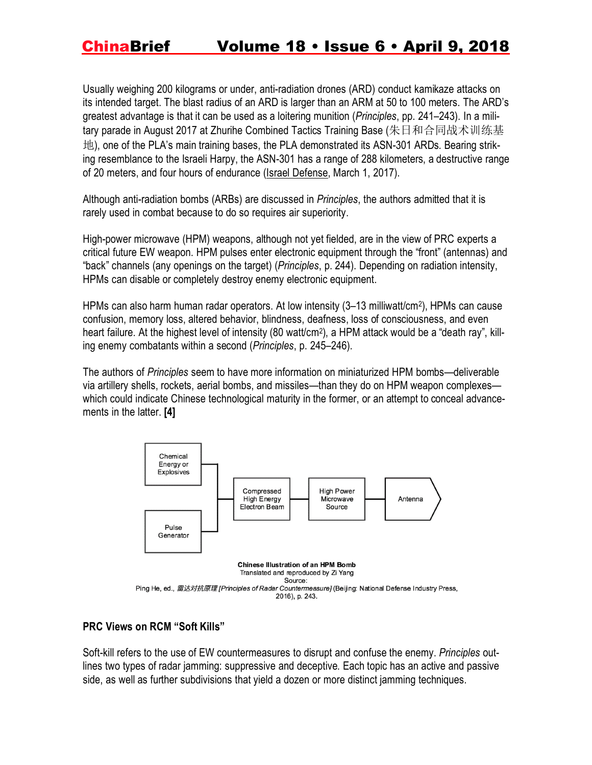Usually weighing 200 kilograms or under, anti-radiation drones (ARD) conduct kamikaze attacks on its intended target. The blast radius of an ARD is larger than an ARM at 50 to 100 meters. The ARD's greatest advantage is that it can be used as a loitering munition (*Principles*, pp. 241–243). In a military parade in August 2017 at Zhurihe Combined Tactics Training Base (朱日和合同战术训练基 地), one of the PLA's main training bases, the PLA demonstrated its ASN-301 ARDs. Bearing striking resemblance to the Israeli Harpy, the ASN-301 has a range of 288 kilometers, a destructive range of 20 meters, and four hours of endurance (Israel [Defense,](http://www.israeldefense.co.il/en/node/28716) March 1, 2017).

Although anti-radiation bombs (ARBs) are discussed in *Principles*, the authors admitted that it is rarely used in combat because to do so requires air superiority.

High-power microwave (HPM) weapons, although not yet fielded, are in the view of PRC experts a critical future EW weapon. HPM pulses enter electronic equipment through the "front" (antennas) and "back" channels (any openings on the target) (*Principles*, p. 244). Depending on radiation intensity, HPMs can disable or completely destroy enemy electronic equipment.

HPMs can also harm human radar operators. At low intensity (3–13 milliwatt/cm<sup>2</sup> ), HPMs can cause confusion, memory loss, altered behavior, blindness, deafness, loss of consciousness, and even heart failure. At the highest level of intensity (80 watt/cm<sup>2</sup>), a HPM attack would be a "death ray", killing enemy combatants within a second (*Principles*, p. 245–246).

The authors of *Principles* seem to have more information on miniaturized HPM bombs—deliverable via artillery shells, rockets, aerial bombs, and missiles—than they do on HPM weapon complexes which could indicate Chinese technological maturity in the former, or an attempt to conceal advancements in the latter. **[4]**



### **PRC Views on RCM "Soft Kills"**

Soft-kill refers to the use of EW countermeasures to disrupt and confuse the enemy. *Principles* outlines two types of radar jamming: suppressive and deceptive. Each topic has an active and passive side, as well as further subdivisions that yield a dozen or more distinct jamming techniques.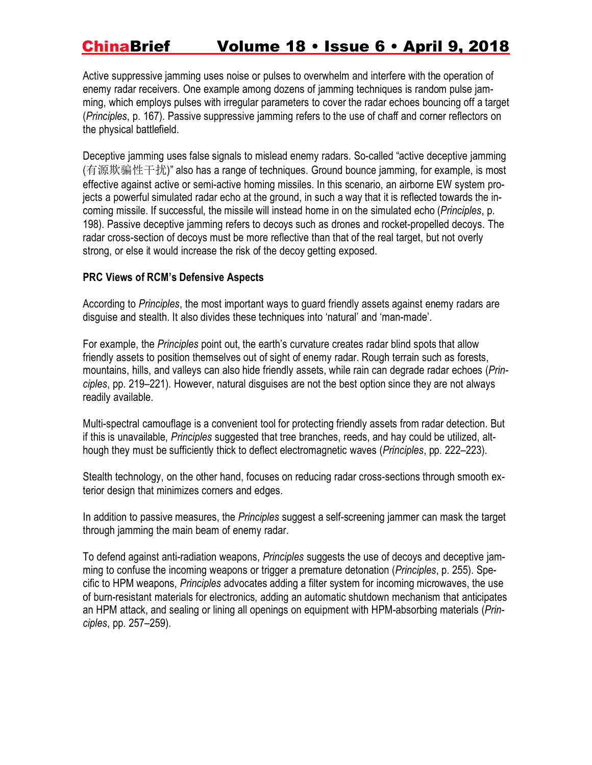Active suppressive jamming uses noise or pulses to overwhelm and interfere with the operation of enemy radar receivers. One example among dozens of jamming techniques is random pulse jamming, which employs pulses with irregular parameters to cover the radar echoes bouncing off a target (*Principles*, p. 167). Passive suppressive jamming refers to the use of chaff and corner reflectors on the physical battlefield.

Deceptive jamming uses false signals to mislead enemy radars. So-called "active deceptive jamming (有源欺骗性干扰)" also has a range of techniques. Ground bounce jamming, for example, is most effective against active or semi-active homing missiles. In this scenario, an airborne EW system projects a powerful simulated radar echo at the ground, in such a way that it is reflected towards the incoming missile. If successful, the missile will instead home in on the simulated echo (*Principles*, p. 198). Passive deceptive jamming refers to decoys such as drones and rocket-propelled decoys. The radar cross-section of decoys must be more reflective than that of the real target, but not overly strong, or else it would increase the risk of the decoy getting exposed.

### **PRC Views of RCM's Defensive Aspects**

According to *Principles*, the most important ways to guard friendly assets against enemy radars are disguise and stealth. It also divides these techniques into 'natural' and 'man-made'.

For example, the *Principles* point out, the earth's curvature creates radar blind spots that allow friendly assets to position themselves out of sight of enemy radar. Rough terrain such as forests, mountains, hills, and valleys can also hide friendly assets, while rain can degrade radar echoes (*Principles*, pp. 219–221). However, natural disguises are not the best option since they are not always readily available.

Multi-spectral camouflage is a convenient tool for protecting friendly assets from radar detection. But if this is unavailable, *Principles* suggested that tree branches, reeds, and hay could be utilized, although they must be sufficiently thick to deflect electromagnetic waves (*Principles*, pp. 222–223).

Stealth technology, on the other hand, focuses on reducing radar cross-sections through smooth exterior design that minimizes corners and edges.

In addition to passive measures, the *Principles* suggest a self-screening jammer can mask the target through jamming the main beam of enemy radar.

To defend against anti-radiation weapons, *Principles* suggests the use of decoys and deceptive jamming to confuse the incoming weapons or trigger a premature detonation (*Principles*, p. 255). Specific to HPM weapons, *Principles* advocates adding a filter system for incoming microwaves, the use of burn-resistant materials for electronics, adding an automatic shutdown mechanism that anticipates an HPM attack, and sealing or lining all openings on equipment with HPM-absorbing materials (*Principles*, pp. 257–259).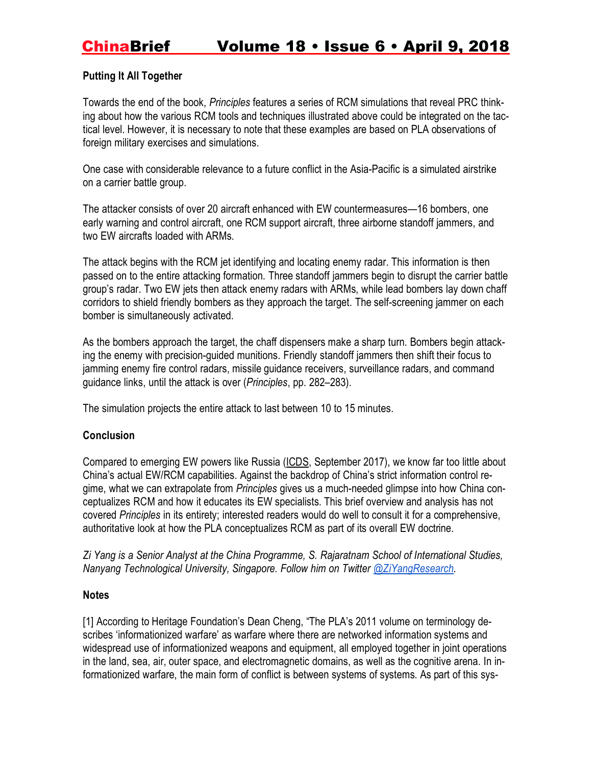### **Putting It All Together**

Towards the end of the book, *Principles* features a series of RCM simulations that reveal PRC thinking about how the various RCM tools and techniques illustrated above could be integrated on the tactical level. However, it is necessary to note that these examples are based on PLA observations of foreign military exercises and simulations.

One case with considerable relevance to a future conflict in the Asia-Pacific is a simulated airstrike on a carrier battle group.

The attacker consists of over 20 aircraft enhanced with EW countermeasures—16 bombers, one early warning and control aircraft, one RCM support aircraft, three airborne standoff jammers, and two EW aircrafts loaded with ARMs.

The attack begins with the RCM jet identifying and locating enemy radar. This information is then passed on to the entire attacking formation. Three standoff jammers begin to disrupt the carrier battle group's radar. Two EW jets then attack enemy radars with ARMs, while lead bombers lay down chaff corridors to shield friendly bombers as they approach the target. The self-screening jammer on each bomber is simultaneously activated.

As the bombers approach the target, the chaff dispensers make a sharp turn. Bombers begin attacking the enemy with precision-guided munitions. Friendly standoff jammers then shift their focus to jamming enemy fire control radars, missile guidance receivers, surveillance radars, and command guidance links, until the attack is over (*Principles*, pp. 282–283).

The simulation projects the entire attack to last between 10 to 15 minutes.

### **Conclusion**

Compared to emerging EW powers like Russia [\(ICDS,](https://www.icds.ee/fileadmin/media/icds.ee/doc/ICDS_Report_Russias_Electronic_Warfare_to_2025.pdf) September 2017), we know far too little about China's actual EW/RCM capabilities. Against the backdrop of China's strict information control regime, what we can extrapolate from *Principles* gives us a much-needed glimpse into how China conceptualizes RCM and how it educates its EW specialists. This brief overview and analysis has not covered *Principles* in its entirety; interested readers would do well to consult it for a comprehensive, authoritative look at how the PLA conceptualizes RCM as part of its overall EW doctrine.

*Zi Yang is a Senior Analyst at the China Programme, S. Rajaratnam School of International Studies, Nanyang Technological University, Singapore. Follow him on Twitte[r](https://twitter.com/ziyangresearch) [@ZiYangResearch.](https://twitter.com/ziyangresearch)*

### **Notes**

[1] According to Heritage Foundation's Dean Cheng, "The PLA's 2011 volume on terminology describes 'informationized warfare' as warfare where there are networked information systems and widespread use of informationized weapons and equipment, all employed together in joint operations in the land, sea, air, outer space, and electromagnetic domains, as well as the cognitive arena. In informationized warfare, the main form of conflict is between systems of systems. As part of this sys-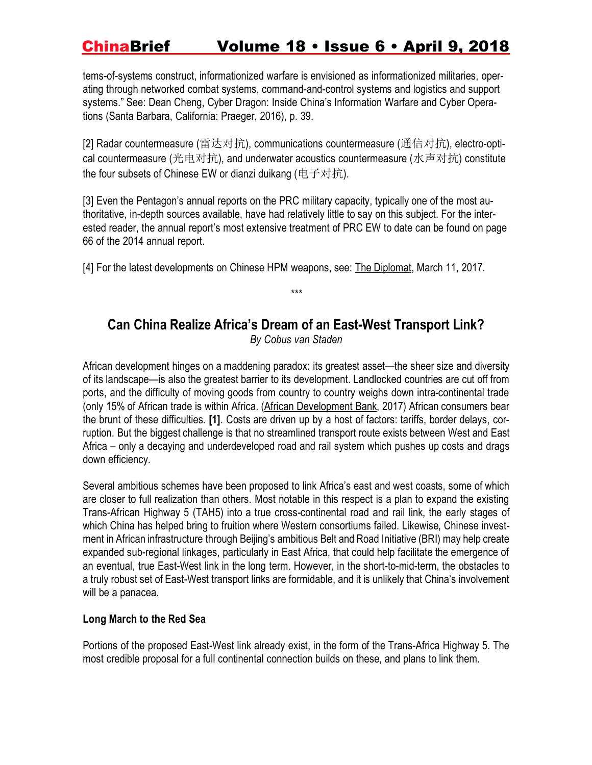tems-of-systems construct, informationized warfare is envisioned as informationized militaries, operating through networked combat systems, command-and-control systems and logistics and support systems." See: Dean Cheng, Cyber Dragon: Inside China's Information Warfare and Cyber Operations (Santa Barbara, California: Praeger, 2016), p. 39.

[2] Radar countermeasure (雷达对抗), communications countermeasure (通信对抗), electro-optical countermeasure (光电对抗), and underwater acoustics countermeasure (水声对抗) constitute the four subsets of Chinese EW or dianzi duikang (电子对抗).

[3] Even the Pentagon's annual reports on the PRC military capacity, typically one of the most authoritative, in-depth sources available, have had relatively little to say on this subject. For the interested reader, the annual report's most extensive treatment of PRC EW to date can be found on page 66 of the 2014 annual report.

[4] For the latest developments on Chinese HPM weapons, see: The [Diplomat,](https://thediplomat.com/2017/03/the-plas-potential-breakthrough-in-high-power-microwave-weapons/) March 11, 2017.

## **Can China Realize Africa's Dream of an East-West Transport Link?**

*\*\*\**

*By Cobus van Staden*

African development hinges on a maddening paradox: its greatest asset—the sheer size and diversity of its landscape—is also the greatest barrier to its development. Landlocked countries are cut off from ports, and the difficulty of moving goods from country to country weighs down intra-continental trade (only 15% of African trade is within Africa. (African [Development](http://www.africaneconomicoutlook.org/en/outlook/trade-policies-and-regional-integration-in-africa) Bank, 2017) African consumers bear the brunt of these difficulties. **[1]**. Costs are driven up by a host of factors: tariffs, border delays, corruption. But the biggest challenge is that no streamlined transport route exists between West and East Africa – only a decaying and underdeveloped road and rail system which pushes up costs and drags down efficiency.

Several ambitious schemes have been proposed to link Africa's east and west coasts, some of which are closer to full realization than others. Most notable in this respect is a plan to expand the existing Trans-African Highway 5 (TAH5) into a true cross-continental road and rail link, the early stages of which China has helped bring to fruition where Western consortiums failed. Likewise, Chinese investment in African infrastructure through Beijing's ambitious Belt and Road Initiative (BRI) may help create expanded sub-regional linkages, particularly in East Africa, that could help facilitate the emergence of an eventual, true East-West link in the long term. However, in the short-to-mid-term, the obstacles to a truly robust set of East-West transport links are formidable, and it is unlikely that China's involvement will be a panacea.

### **Long March to the Red Sea**

Portions of the proposed East-West link already exist, in the form of the Trans-Africa Highway 5. The most credible proposal for a full continental connection builds on these, and plans to link them.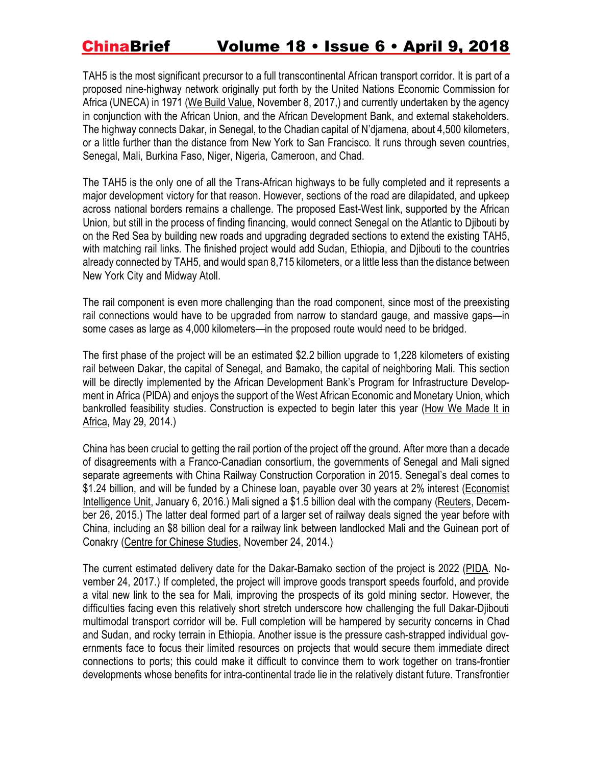TAH5 is the most significant precursor to a full transcontinental African transport corridor. It is part of a proposed nine-highway network originally put forth by the United Nations Economic Commission for Africa (UNECA) in 1971 (We Build [Value,](https://www.webuildvalue.com/en/infrastructures/trans-african-highway-roads-and-railways-to-make-cargo-move.html) November 8, 2017,) and currently undertaken by the agency in conjunction with the African Union, and the African Development Bank, and external stakeholders. The highway connects Dakar, in Senegal, to the Chadian capital of N'djamena, about 4,500 kilometers, or a little further than the distance from New York to San Francisco. It runs through seven countries, Senegal, Mali, Burkina Faso, Niger, Nigeria, Cameroon, and Chad.

The TAH5 is the only one of all the Trans-African highways to be fully completed and it represents a major development victory for that reason. However, sections of the road are dilapidated, and upkeep across national borders remains a challenge. The proposed East-West link, supported by the African Union, but still in the process of finding financing, would connect Senegal on the Atlantic to Djibouti by on the Red Sea by building new roads and upgrading degraded sections to extend the existing TAH5, with matching rail links. The finished project would add Sudan, Ethiopia, and Djibouti to the countries already connected by TAH5, and would span 8,715 kilometers, or a little less than the distance between New York City and Midway Atoll.

The rail component is even more challenging than the road component, since most of the preexisting rail connections would have to be upgraded from narrow to standard gauge, and massive gaps—in some cases as large as 4,000 kilometers—in the proposed route would need to be bridged.

The first phase of the project will be an estimated \$2.2 billion upgrade to 1,228 kilometers of existing rail between Dakar, the capital of Senegal, and Bamako, the capital of neighboring Mali. This section will be directly implemented by the African Development Bank's Program for Infrastructure Development in Africa (PIDA) and enjoys the support of the West African Economic and Monetary Union, which bankrolled feasibility studies. Construction is expected to begin later this year (How We [Made](https://www.howwemadeitinafrica.com/trans-african-highway-remains-a-road-to-nowhere/39863/) It in [Africa,](https://www.howwemadeitinafrica.com/trans-african-highway-remains-a-road-to-nowhere/39863/) May 29, 2014.)

China has been crucial to getting the rail portion of the project off the ground. After more than a decade of disagreements with a Franco-Canadian consortium, the governments of Senegal and Mali signed separate agreements with China Railway Construction Corporation in 2015. Senegal's deal comes to \$1.24 billion, and will be funded by a Chinese loan, payable over 30 years at 2% interest [\(Economist](http://country.eiu.com/article.aspx?articleid=383828422&Country=Senegal&topic=Economy&subtopic=Forecast&subsubtopic=Economic+growth&u=1&pid=1736317757&oid=1736317757&uid=1) [Intelligence](http://country.eiu.com/article.aspx?articleid=383828422&Country=Senegal&topic=Economy&subtopic=Forecast&subsubtopic=Economic+growth&u=1&pid=1736317757&oid=1736317757&uid=1) Unit, January 6, 2016.) Mali signed a \$1.5 billion deal with the company [\(Reuters,](https://www.reuters.com/article/mali-china-cn-railway-const/mali-signs-1-5-bln-rail-deal-with-china-railway-construction-idUSL8N14F06320151226) December 26, 2015.) The latter deal formed part of a larger set of railway deals signed the year before with China, including an \$8 billion deal for a railway link between landlocked Mali and the Guinean port of Conakry (Centre for [Chinese](http://www0.sun.ac.za/ccs/wp-content/uploads/2014/11/CCS_Commentary_Mali_China_Railway_NT_2014_02.pdf) Studies, November 24, 2014.)

The current estimated delivery date for the Dakar-Bamako section of the project is 2022 [\(PIDA.](http://www.au-pida.org/view-project/939/) November 24, 2017.) If completed, the project will improve goods transport speeds fourfold, and provide a vital new link to the sea for Mali, improving the prospects of its gold mining sector. However, the difficulties facing even this relatively short stretch underscore how challenging the full Dakar-Djibouti multimodal transport corridor will be. Full completion will be hampered by security concerns in Chad and Sudan, and rocky terrain in Ethiopia. Another issue is the pressure cash-strapped individual governments face to focus their limited resources on projects that would secure them immediate direct connections to ports; this could make it difficult to convince them to work together on trans-frontier developments whose benefits for intra-continental trade lie in the relatively distant future. Transfrontier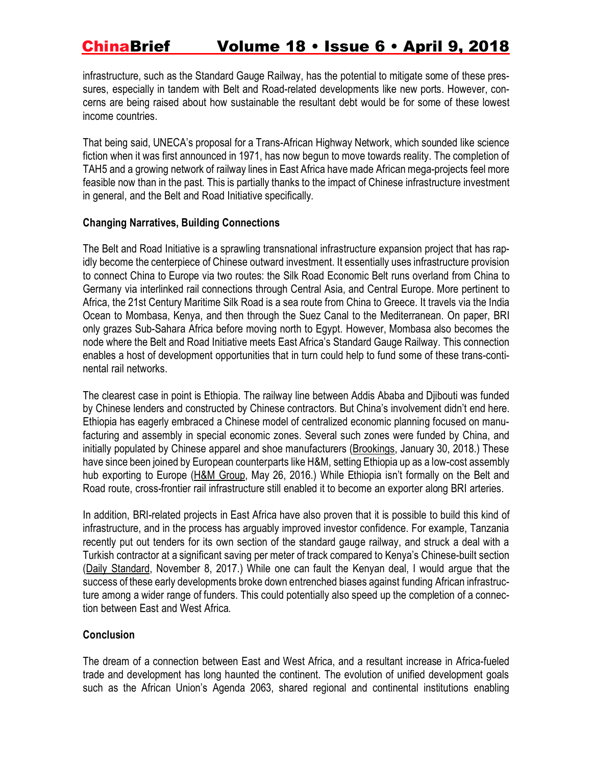infrastructure, such as the Standard Gauge Railway, has the potential to mitigate some of these pressures, especially in tandem with Belt and Road-related developments like new ports. However, concerns are being raised about how sustainable the resultant debt would be for some of these lowest income countries.

That being said, UNECA's proposal for a Trans-African Highway Network, which sounded like science fiction when it was first announced in 1971, has now begun to move towards reality. The completion of TAH5 and a growing network of railway lines in East Africa have made African mega-projects feel more feasible now than in the past. This is partially thanks to the impact of Chinese infrastructure investment in general, and the Belt and Road Initiative specifically.

### **Changing Narratives, Building Connections**

The Belt and Road Initiative is a sprawling transnational infrastructure expansion project that has rapidly become the centerpiece of Chinese outward investment. It essentially uses infrastructure provision to connect China to Europe via two routes: the Silk Road Economic Belt runs overland from China to Germany via interlinked rail connections through Central Asia, and Central Europe. More pertinent to Africa, the 21st Century Maritime Silk Road is a sea route from China to Greece. It travels via the India Ocean to Mombasa, Kenya, and then through the Suez Canal to the Mediterranean. On paper, BRI only grazes Sub-Sahara Africa before moving north to Egypt. However, Mombasa also becomes the node where the Belt and Road Initiative meets East Africa's Standard Gauge Railway. This connection enables a host of development opportunities that in turn could help to fund some of these trans-continental rail networks.

The clearest case in point is Ethiopia. The railway line between Addis Ababa and Djibouti was funded by Chinese lenders and constructed by Chinese contractors. But China's involvement didn't end here. Ethiopia has eagerly embraced a Chinese model of centralized economic planning focused on manufacturing and assembly in special economic zones. Several such zones were funded by China, and initially populated by Chinese apparel and shoe manufacturers [\(Brookings,](https://www.brookings.edu/blog/africa-in-focus/2018/01/30/foresight-africa-viewpoint-chinas-engagement-in-africa-what-can-we-learn-in-2018-from-the-60-billion-commitment/) January 30, 2018.) These have since been joined by European counterparts like H&M, setting Ethiopia up as a low-cost assembly hub exporting to Europe (H&M [Group,](https://www.brookings.edu/blog/africa-in-focus/2018/01/30/foresight-africa-viewpoint-chinas-engagement-in-africa-what-can-we-learn-in-2018-from-the-60-billion-commitment/) May 26, 2016.) While Ethiopia isn't formally on the Belt and Road route, cross-frontier rail infrastructure still enabled it to become an exporter along BRI arteries.

In addition, BRI-related projects in East Africa have also proven that it is possible to build this kind of infrastructure, and in the process has arguably improved investor confidence. For example, Tanzania recently put out tenders for its own section of the standard gauge railway, and struck a deal with a Turkish contractor at a significant saving per meter of track compared to Kenya's Chinese-built section (Daily [Standard,](https://www.standardmedia.co.ke/article/2001256729/tanzania-building-electric-rail-at-half-price-of-kenya-s-diesel-standard-gauge-railway-line) November 8, 2017.) While one can fault the Kenyan deal, I would argue that the success of these early developments broke down entrenched biases against funding African infrastructure among a wider range of funders. This could potentially also speed up the completion of a connection between East and West Africa.

### **Conclusion**

The dream of a connection between East and West Africa, and a resultant increase in Africa-fueled trade and development has long haunted the continent. The evolution of unified development goals such as the African Union's Agenda 2063, shared regional and continental institutions enabling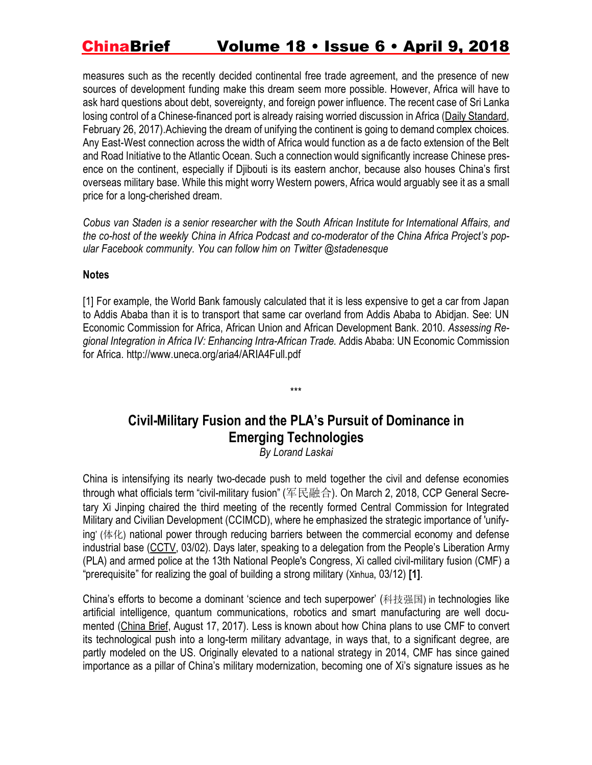measures such as the recently decided continental free trade agreement, and the presence of new sources of development funding make this dream seem more possible. However, Africa will have to ask hard questions about debt, sovereignty, and foreign power influence. The recent case of Sri Lanka losing control of a Chinese-financed port is already raising worried discussion in Africa (Daily [Standard,](https://www.standardmedia.co.ke/business/article/2001230735/kenya-chokes-on-hefty-infrastructure-debts-to-china-but-are-the-projects-viable) February 26, 2017).Achieving the dream of unifying the continent is going to demand complex choices. Any East-West connection across the width of Africa would function as a de facto extension of the Belt and Road Initiative to the Atlantic Ocean. Such a connection would significantly increase Chinese presence on the continent, especially if Djibouti is its eastern anchor, because also houses China's first overseas military base. While this might worry Western powers, Africa would arguably see it as a small price for a long-cherished dream.

*Cobus van Staden is a senior researcher with the South African Institute for International Affairs, and the co-host of the weekly China in Africa [Podcast](http://www.chinaafricaproject.com/) and co-moderator of the China Africa Project's popular Facebook community. You can follow him on Twitter [@stadenesque](https://twitter.com/stadenesque)*

#### **Notes**

[1] For example, the World Bank famously calculated that it is less expensive to get a car from Japan to Addis Ababa than it is to transport that same car overland from Addis Ababa to Abidjan. See: UN Economic Commission for Africa, African Union and African Development Bank. 2010. *Assessing Regional Integration in Africa IV: Enhancing Intra-African Trade.* Addis Ababa: UN Economic Commission for Africa. http://www.uneca.org/aria4/ARIA4Full.pdf

## **Civil-Military Fusion and the PLA's Pursuit of Dominance in Emerging Technologies**

\*\*\*

*By Lorand Laskai*

China is intensifying its nearly two-decade push to meld together the civil and defense economies through what officials term "civil-military fusion" (军民融合). On March 2, 2018, CCP General Secretary Xi Jinping chaired the third meeting of the recently formed Central Commission for Integrated Military and Civilian Development (CCIMCD), where he emphasized the strategic importance of 'unifying' (体化) national power through reducing barriers between the commercial economy and defense industrial base [\(CCTV,](http://tv.cctv.com/2018/03/02/VIDEX69ZEYQ74R0NysB5EH0J180302.shtml) 03/02). Days later, speaking to a delegation from the People's Liberation Army (PLA) and armed police at the 13th National People's Congress, Xi called civil-military fusion (CMF) a "prerequisite" for realizing the goal of building a strong military ([Xinhua](http://www.xinhuanet.com/english/2018-03/12/c_137034168.htm), 03/12) **[1]**.

China's efforts to become a dominant 'science and tech superpower' (科技强国) in technologies like artificial intelligence, quantum communications, robotics and smart manufacturing are well documented [\(China](https://jamestown.org/program/disruption-under-the-radar-chinese-advances-in-quantum-sensing/) Brief, August 17, 2017). Less is known about how China plans to use CMF to convert its technological push into a long-term military advantage, in ways that, to a significant degree, are partly modeled on the US. Originally elevated to a national strategy in 2014, CMF has since gained importance as a pillar of China's military modernization, becoming one of Xi's signature issues as he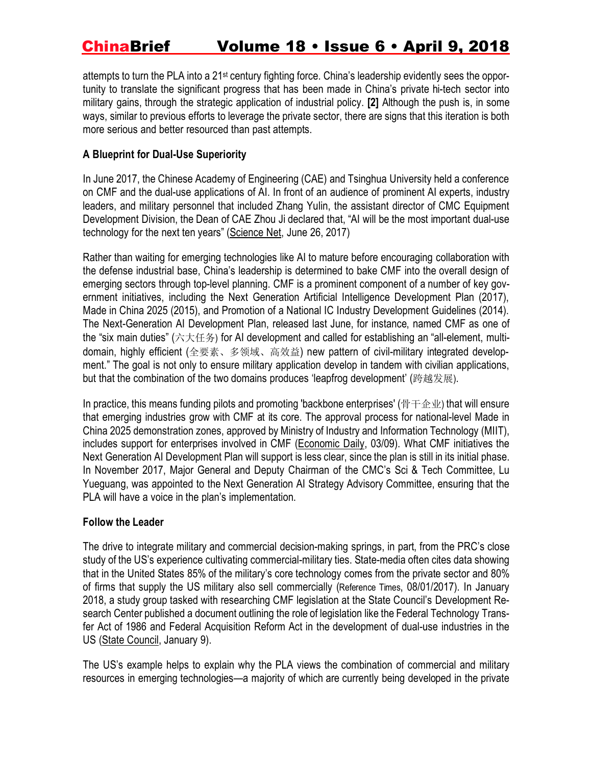attempts to turn the PLA into a 21<sup>st</sup> century fighting force. China's leadership evidently sees the opportunity to translate the significant progress that has been made in China's private hi-tech sector into military gains, through the strategic application of industrial policy. **[2]** Although the push is, in some ways, similar to previous efforts to leverage the private sector, there are signs that this iteration is both more serious and better resourced than past attempts.

### **A Blueprint for Dual-Use Superiority**

In June 2017, the Chinese Academy of Engineering (CAE) and Tsinghua University held a conference on CMF and the dual-use applications of AI. In front of an audience of prominent AI experts, industry leaders, and military personnel that included Zhang Yulin, the assistant director of CMC Equipment Development Division, the Dean of CAE Zhou Ji declared that, "AI will be the most important dual-use technology for the next ten years" [\(Science](http://news.sciencenet.cn/htmlnews/2017/6/380507.shtm) Net, June 26, 2017)

Rather than waiting for emerging technologies like AI to mature before encouraging collaboration with the defense industrial base, China's leadership is determined to bake CMF into the overall design of emerging sectors through top-level planning. CMF is a prominent component of a number of key government initiatives, including the Next Generation Artificial Intelligence Development Plan (2017), Made in China 2025 (2015), and Promotion of a National IC Industry Development Guidelines (2014). The Next-Generation AI Development Plan, released last June, for instance, named CMF as one of the "six main duties" (六大任务) for AI development and called for establishing an "all-element, multidomain, highly efficient (全要素、多领域、高效益) new pattern of civil-military integrated development." The goal is not only to ensure military application develop in tandem with civilian applications, but that the combination of the two domains produces 'leapfrog development' (跨越发展).

In practice, this means funding pilots and promoting 'backbone enterprises' (骨干企业) that will ensure that emerging industries grow with CMF at its core. The approval process for national-level Made in China 2025 demonstration zones, approved by Ministry of Industry and Information Technology (MIIT), includes support for enterprises involved in CMF [\(Economic](http://www.cneo.com.cn/article-58665-1.html) Daily, 03/09). What CMF initiatives the Next Generation AI Development Plan will support is less clear, since the plan is still in its initial phase. In November 2017, Major General and Deputy Chairman of the CMC's Sci & Tech Committee, Lu Yueguang, was appointed to the Next Generation AI Strategy Advisory Committee, ensuring that the PLA will have a voice in the plan's implementation.

### **Follow the Leader**

The drive to integrate military and commercial decision-making springs, in part, from the PRC's close study of the US's experience cultivating commercial-military ties. State-media often cites data showing that in the United States 85% of the military's core technology comes from the private sector and 80% of firms that supply the US military also sell commercially ([Reference](http://finance.chinanews.com/cj/2017/08-01/8292315.shtml) Times, 08/01/2017). In January 2018, a study group tasked with researching CMF legislation at the State Council's Development Research Center published a document outlining the role of legislation like the Federal Technology Transfer Act of 1986 and Federal Acquisition Reform Act in the development of dual-use industries in the US (State [Council,](http://www.waterinfo.com.cn/news_5/wai/201801/t20180109_13812.htm) January 9).

The US's example helps to explain why the PLA views the combination of commercial and military resources in emerging technologies—a majority of which are currently being developed in the private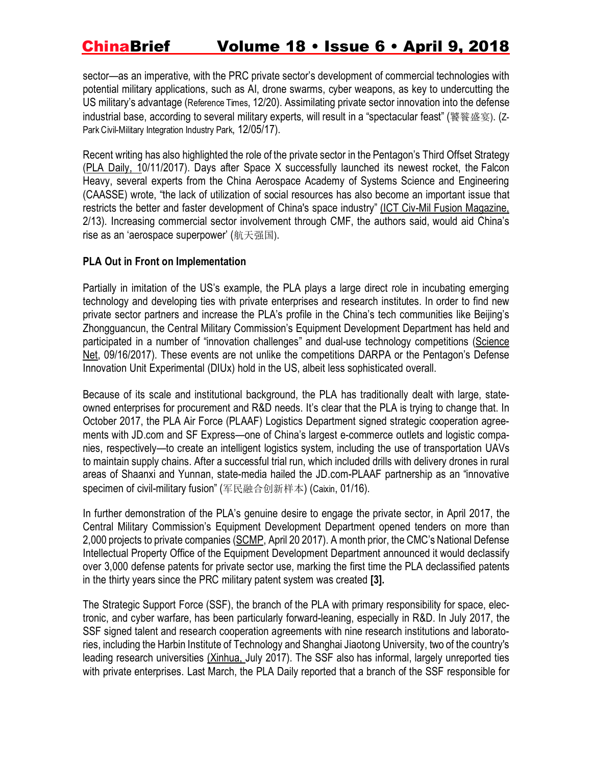sector—as an imperative, with the PRC private sector's development of commercial technologies with potential military applications, such as AI, drone swarms, cyber weapons, as key to undercutting the US military's advantage ([Reference](http://news.sina.com.cn/w/2017-12-20/doc-ifypwzxq4359119.shtml) Times, 12/20). Assimilating private sector innovation into the defense industrial base, according to several military experts, will result in a "spectacular feast" (饕餮盛宴). ([Z-](https://www.z-parkcmi.com/index.php/node/1389)Park [Civil-Military](https://www.z-parkcmi.com/index.php/node/1389) Integration Industry Park, 12/05/17).

Recent writing has also highlighted the role of the private sector in the Pentagon's Third Offset Strategy (PLA [Daily,](http://theory.people.com.cn/n1/2017/1011/c40531-29580133.html) 10/11/2017). Days after Space X successfully launched its newest rocket, the Falcon Heavy, several experts from the China Aerospace Academy of Systems Science and Engineering (CAASSE) wrote, "the lack of utilization of social resources has also become an important issue that restricts the better and faster development of China's space industry" (ICT Civ-Mil Fusion [Magazine,](https://mp.weixin.qq.com/s/fKIA7xMQQr1bkNMYvaMWmQ) 2/13). Increasing commercial sector involvement through CMF, the authors said, would aid China's rise as an 'aerospace superpower' (航天强国).

### **PLA Out in Front on Implementation**

Partially in imitation of the US's example, the PLA plays a large direct role in incubating emerging technology and developing ties with private enterprises and research institutes. In order to find new private sector partners and increase the PLA's profile in the China's tech communities like Beijing's Zhongguancun, the Central Military Commission's Equipment Development Department has held and participated in a number of "innovation challenges" and dual-use technology competitions [\(Science](http://news.sciencenet.cn/htmlnews/2017/9/388336.shtm) [Net,](http://news.sciencenet.cn/htmlnews/2017/9/388336.shtm) 09/16/2017). These events are not unlike the competitions DARPA or the Pentagon's Defense Innovation Unit Experimental (DIUx) hold in the US, albeit less sophisticated overall.

Because of its scale and institutional background, the PLA has traditionally dealt with large, stateowned enterprises for procurement and R&D needs. It's clear that the PLA is trying to change that. In October 2017, the PLA Air Force (PLAAF) Logistics Department signed strategic cooperation agreements with JD.com and SF Express—one of China's largest e-commerce outlets and logistic companies, respectively—to create an intelligent logistics system, including the use of transportation UAVs to maintain supply chains. After a successful trial run, which included drills with delivery drones in rural areas of Shaanxi and Yunnan, state-media hailed the JD.com-PLAAF partnership as an "innovative specimen of civil-military fusion" (军民融合创新样本) ([Caixin](http://tech.caijing.com.cn/20180116/4399097.shtml), 01/16).

In further demonstration of the PLA's genuine desire to engage the private sector, in April 2017, the Central Military Commission's Equipment Development Department opened tenders on more than 2,000 projects to private companies [\(SCMP,](http://www.scmp.com/news/china/policies-politics/article/2088998/china-opens-military-contracts-worth-billions-yuan) April 20 2017). A month prior, the CMC's National Defense Intellectual Property Office of the Equipment Development Department announced it would declassify over 3,000 defense patents for private sector use, marking the first time the PLA declassified patents in the thirty years since the PRC military patent system was created **[3].**

The Strategic Support Force (SSF), the branch of the PLA with primary responsibility for space, electronic, and cyber warfare, has been particularly forward-leaning, especially in R&D. In July 2017, the SSF signed talent and research cooperation agreements with nine research institutions and laboratories, including the Harbin Institute of Technology and Shanghai Jiaotong University, two of the country's leading research universities [\(Xinhua,](http://military.people.com.cn/n1/2017/0713/c1011-29402123.html) July 2017). The SSF also has informal, largely unreported ties with private enterprises. Last March, the PLA Daily reported that a branch of the SSF responsible for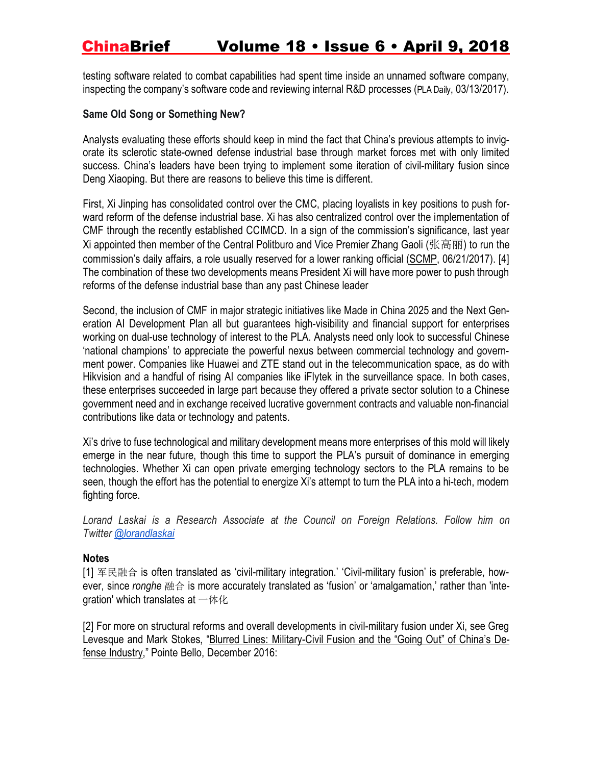testing software related to combat capabilities had spent time inside an unnamed software company, inspecting the company's software code and reviewing internal R&D processes (PLA [Daily](http://www.legaldaily.com.cn/army/content/2017-03/13/content_7050298.htm?node=80558), 03/13/2017).

### **Same Old Song or Something New?**

Analysts evaluating these efforts should keep in mind the fact that China's previous attempts to invigorate its sclerotic state-owned defense industrial base through market forces met with only limited success. China's leaders have been trying to implement some iteration of civil-military fusion since Deng Xiaoping. But there are reasons to believe this time is different.

First, Xi Jinping has consolidated control over the CMC, placing loyalists in key positions to push forward reform of the defense industrial base. Xi has also centralized control over the implementation of CMF through the recently established CCIMCD. In a sign of the commission's significance, last year Xi appointed then member of the Central Politburo and Vice Premier Zhang Gaoli (张高丽) to run the commission's daily affairs, a role usually reserved for a lower ranking official [\(SCMP,](http://www.scmp.com/news/china/policies-politics/article/2099248/xi-jinping-further-consolidates-power-commission) 06/21/2017). [4] The combination of these two developments means President Xi will have more power to push through reforms of the defense industrial base than any past Chinese leader

Second, the inclusion of CMF in major strategic initiatives like Made in China 2025 and the Next Generation AI Development Plan all but guarantees high-visibility and financial support for enterprises working on dual-use technology of interest to the PLA. Analysts need only look to successful Chinese 'national champions' to appreciate the powerful nexus between commercial technology and government power. Companies like Huawei and ZTE stand out in the telecommunication space, as do with Hikvision and a handful of rising AI companies like iFlytek in the surveillance space. In both cases, these enterprises succeeded in large part because they offered a private sector solution to a Chinese government need and in exchange received lucrative government contracts and valuable non-financial contributions like data or technology and patents.

Xi's drive to fuse technological and military development means more enterprises of this mold will likely emerge in the near future, though this time to support the PLA's pursuit of dominance in emerging technologies. Whether Xi can open private emerging technology sectors to the PLA remains to be seen, though the effort has the potential to energize Xi's attempt to turn the PLA into a hi-tech, modern fighting force.

*Lorand Laskai is a Research Associate at the Council on Foreign Relations. Follow him on Twitter [@lorandlaskai](http://twitter.com/lorandlaskai)*

### **Notes**

[1] 军民融合 is often translated as 'civil-military integration.' 'Civil-military fusion' is preferable, however, since *ronghe* 融合 is more accurately translated as 'fusion' or 'amalgamation,' rather than 'integration' which translates at  $-\frac{4}{k}$ 

[2] For more on structural reforms and overall developments in civil-military fusion under Xi, see Greg Levesque and Mark Stokes, "Blurred Lines: [Military-Civil](https://static1.squarespace.com/static/569925bfe0327c837e2e9a94/t/593dad0320099e64e1ca92a5/1497214574912/062017_Pointe+Bello_Military+Civil+Fusion+Report.pdf) Fusion and the "Going Out" of China's Defense [Industry](https://static1.squarespace.com/static/569925bfe0327c837e2e9a94/t/593dad0320099e64e1ca92a5/1497214574912/062017_Pointe+Bello_Military+Civil+Fusion+Report.pdf)," Pointe Bello, December 2016: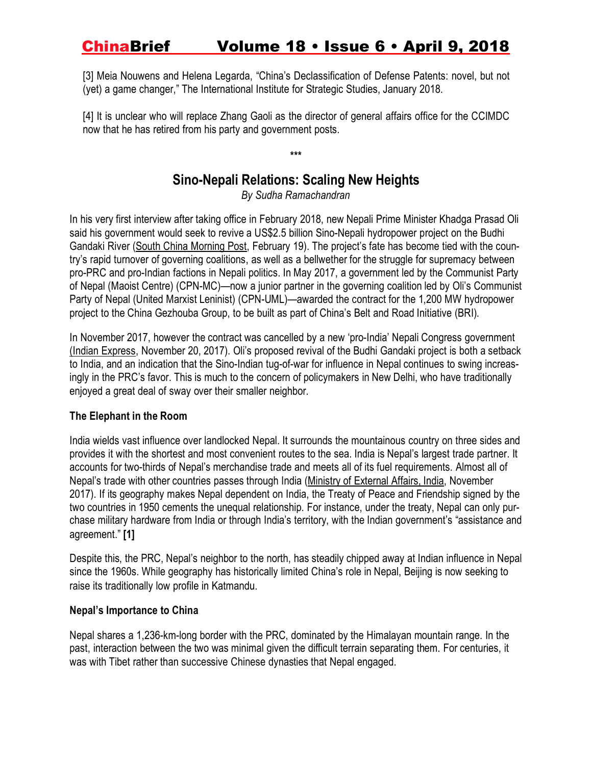[3] Meia Nouwens and Helena Legarda, "China's Declassification of Defense Patents: novel, but not (yet) a game changer," The International Institute for Strategic Studies, January 2018.

[4] It is unclear who will replace Zhang Gaoli as the director of general affairs office for the CCIMDC now that he has retired from his party and government posts.

**\*\*\***

## **Sino-Nepali Relations: Scaling New Heights**

*By Sudha Ramachandran*

In his very first interview after taking office in February 2018, new Nepali Prime Minister Khadga Prasad Oli said his government would seek to revive a US\$2.5 billion Sino-Nepali hydropower project on the Budhi Gandaki River (South China [Morning](http://www.scmp.com/week-asia/geopolitics/article/2133845/nepal-leader-revive-chinese-dam-project-open-review-pact-over) Post, February 19). The project's fate has become tied with the country's rapid turnover of governing coalitions, as well as a bellwether for the struggle for supremacy between pro-PRC and pro-Indian factions in Nepali politics. In May 2017, a government led by the Communist Party of Nepal (Maoist Centre) (CPN-MC)—now a junior partner in the governing coalition led by Oli's Communist Party of Nepal (United Marxist Leninist) (CPN-UML)—awarded the contract for the 1,200 MW hydropower project to the China Gezhouba Group, to be built as part of China's Belt and Road Initiative (BRI).

In November 2017, however the contract was cancelled by a new 'pro-India' Nepali Congress government (Indian [Express,](http://indianexpress.com/article/opinion/columns/nepal-government-budhi-gandaki-hydro-project-pushpa-kamal-dahal-4945340/) November 20, 2017). Oli's proposed revival of the Budhi Gandaki project is both a setback to India, and an indication that the Sino-Indian tug-of-war for influence in Nepal continues to swing increasingly in the PRC's favor. This is much to the concern of policymakers in New Delhi, who have traditionally enjoyed a great deal of sway over their smaller neighbor.

### **The Elephant in the Room**

India wields vast influence over landlocked Nepal. It surrounds the mountainous country on three sides and provides it with the shortest and most convenient routes to the sea. India is Nepal's largest trade partner. It accounts for two-thirds of Nepal's merchandise trade and meets all of its fuel requirements. Almost all of Nepal's trade with other countries passes through India [\(Ministry](http://www.mea.gov.in/Portal/ForeignRelation/8_Nepal_November_2017.pdf) of External Affairs, India, November 2017). If its geography makes Nepal dependent on India, the Treaty of Peace and Friendship signed by the two countries in 1950 cements the unequal relationship. For instance, under the treaty, Nepal can only purchase military hardware from India or through India's territory, with the Indian government's "assistance and agreement." **[1]**

Despite this, the PRC, Nepal's neighbor to the north, has steadily chipped away at Indian influence in Nepal since the 1960s. While geography has historically limited China's role in Nepal, Beijing is now seeking to raise its traditionally low profile in Katmandu.

### **Nepal's Importance to China**

Nepal shares a 1,236-km-long border with the PRC, dominated by the Himalayan mountain range. In the past, interaction between the two was minimal given the difficult terrain separating them. For centuries, it was with Tibet rather than successive Chinese dynasties that Nepal engaged.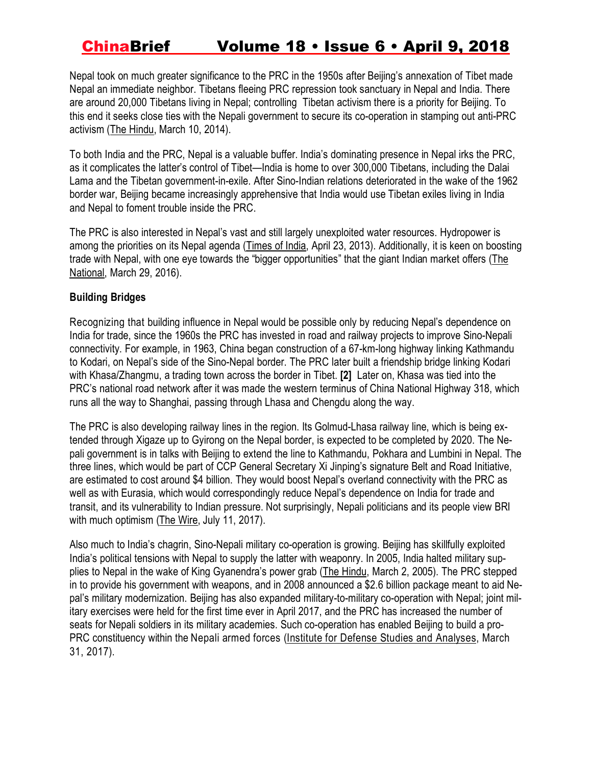Nepal took on much greater significance to the PRC in the 1950s after Beijing's annexation of Tibet made Nepal an immediate neighbor. Tibetans fleeing PRC repression took sanctuary in Nepal and India. There are around 20,000 Tibetans living in Nepal; controlling Tibetan activism there is a priority for Beijing. To this end it seeks close ties with the Nepali government to secure its co-operation in stamping out anti-PRC activism (The [Hindu,](http://www.thehindu.com/news/international/south-asia/nepal-cracks-down-on-tibetan-activists/article5770995.ece) March 10, 2014).

To both India and the PRC, Nepal is a valuable buffer. India's dominating presence in Nepal irks the PRC, as it complicates the latter's control of Tibet—India is home to over 300,000 Tibetans, including the Dalai Lama and the Tibetan government-in-exile. After Sino-Indian relations deteriorated in the wake of the 1962 border war, Beijing became increasingly apprehensive that India would use Tibetan exiles living in India and Nepal to foment trouble inside the PRC.

The PRC is also interested in Nepal's vast and still largely unexploited water resources. Hydropower is among the priorities on its Nepal agenda [\(Times](https://timesofindia.indiatimes.com/edit-page/Chinas-new-war-front-Natural-resource-as-a-political-tool/articleshow/19683339.cms) of India, April 23, 2013). Additionally, it is keen on boosting trade with Nepal, with one eye towards the "bigger opportunities" that the giant Indian market offers [\(The](https://www.thenational.ae/business/nepal-china-s-bridge-to-lucrative-india-1.154943) [National,](https://www.thenational.ae/business/nepal-china-s-bridge-to-lucrative-india-1.154943) March 29, 2016).

### **Building Bridges**

Recognizing that building influence in Nepal would be possible only by reducing Nepal's dependence on India for trade, since the 1960s the PRC has invested in road and railway projects to improve Sino-Nepali connectivity. For example, in 1963, China began construction of a 67-km-long highway linking Kathmandu to Kodari, on Nepal's side of the Sino-Nepal border. The PRC later built a friendship bridge linking Kodari with Khasa/Zhangmu, a trading town across the border in Tibet. **[2]** Later on, Khasa was tied into the PRC's national road network after it was made the western terminus of China National Highway 318, which runs all the way to Shanghai, passing through Lhasa and Chengdu along the way.

The PRC is also developing railway lines in the region. Its Golmud-Lhasa railway line, which is being extended through Xigaze up to Gyirong on the Nepal border, is expected to be completed by 2020. The Nepali government is in talks with Beijing to extend the line to Kathmandu, Pokhara and Lumbini in Nepal. The three lines, which would be part of CCP General Secretary Xi Jinping's signature Belt and Road Initiative, are estimated to cost around \$4 billion. They would boost Nepal's overland connectivity with the PRC as well as with Eurasia, which would correspondingly reduce Nepal's dependence on India for trade and transit, and its vulnerability to Indian pressure. Not surprisingly, Nepali politicians and its people view BRI with much optimism (The [Wire,](https://thewire.in/external-affairs/nepal-china-obor-transport-infrastructure) July 11, 2017).

Also much to India's chagrin, Sino-Nepali military co-operation is growing. Beijing has skillfully exploited India's political tensions with Nepal to supply the latter with weaponry. In 2005, India halted military sup-plies to Nepal in the wake of King Gyanendra's power grab (The [Hindu,](http://www.thehindu.com/2005/03/02/stories/2005030202591000.htm) March 2, 2005). The PRC stepped in to provide his government with weapons, and in 2008 announced a \$2.6 billion package meant to aid Nepal's military modernization. Beijing has also expanded military-to-military co-operation with Nepal; joint military exercises were held for the first time ever in April 2017, and the PRC has increased the number of seats for Nepali soldiers in its military academies. Such co-operation has enabled Beijing to build a pro-PRC constituency within the Nepali armed forces (Institute for Defense Studies and [Analyses,](https://idsa.in/idsacomments/china-growing-military-ties-with-nepal_nrnayak_310317) March 31, 2017).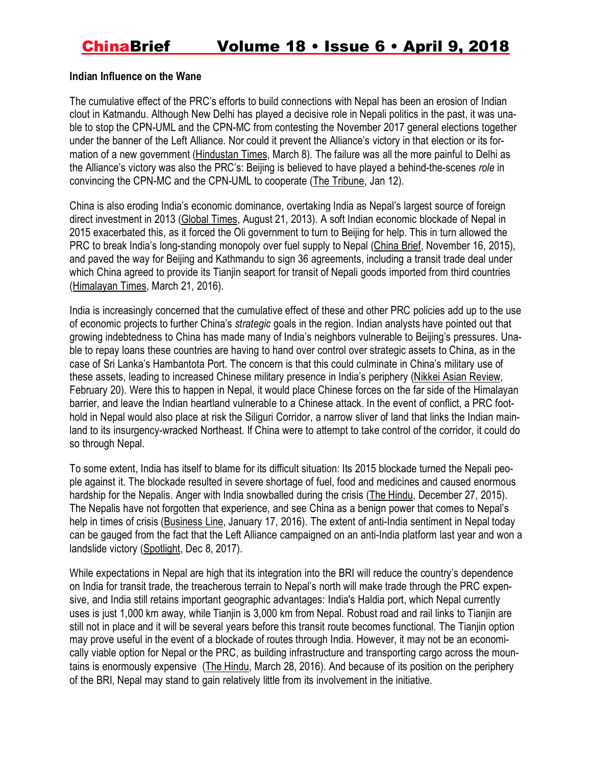#### **Indian Influence on the Wane**

The cumulative effect of the PRC's efforts to build connections with Nepal has been an erosion of Indian clout in Katmandu. Although New Delhi has played a decisive role in Nepali politics in the past, it was unable to stop the CPN-UML and the CPN-MC from contesting the November 2017 general elections together under the banner of the Left Alliance. Nor could it prevent the Alliance's victory in that election or its formation of a new government [\(Hindustan](https://www.hindustantimes.com/india-news/is-it-the-end-of-india-s-special-relationship-with-nepal/story-ijLNl5AvvOt1w6fQANekVP.html) Times, March 8). The failure was all the more painful to Delhi as the Alliance's victory was also the PRC's: Beijing is believed to have played a behind-the-scenes *role* in convincing the CPN-MC and the CPN-UML to cooperate (The [Tribune,](http://www.tribuneindia.com/news/comment/how-india-lost-nepal-to-china/527254.html) Jan 12).

China is also eroding India's economic dominance, overtaking India as Nepal's largest source of foreign direct investment in 2013 [\(Global](http://www.globaltimes.cn/content/805344.shtml) Times, August 21, 2013). A soft Indian economic blockade of Nepal in 2015 exacerbated this, as it forced the Oli government to turn to Beijing for help. This in turn allowed the PRC to break India's long-standing monopoly over fuel supply to Nepal [\(China](https://jamestown.org/program/sino-nepalese-relations-handshake-across-the-himalayas/) Brief, November 16, 2015), and paved the way for Beijing and Kathmandu to sign 36 agreements, including a transit trade deal under which China agreed to provide its Tianjin seaport for transit of Nepali goods imported from third countries [\(Himalayan](https://thehimalayantimes.com/nepal/nepal-signs-trade-transit-treaty-china/) Times, March 21, 2016).

India is increasingly concerned that the cumulative effect of these and other PRC policies add up to the use of economic projects to further China's *strategic* goals in the region. Indian analysts have pointed out that growing indebtedness to China has made many of India's neighbors vulnerable to Beijing's pressures. Unable to repay loans these countries are having to hand over control over strategic assets to China, as in the case of Sri Lanka's Hambantota Port. The concern is that this could culminate in China's military use of these assets, leading to increased Chinese military presence in India's periphery (Nikkei Asian [Review,](https://asia.nikkei.com/Viewpoints/Brahma-Chellaney/China-ensnares-vulnerable-states-in-a-debt-trap?page=1) February 20). Were this to happen in Nepal, it would place Chinese forces on the far side of the Himalayan barrier, and leave the Indian heartland vulnerable to a Chinese attack. In the event of conflict, a PRC foothold in Nepal would also place at risk the Siliguri Corridor, a narrow sliver of land that links the Indian mainland to its insurgency-wracked Northeast. If China were to attempt to take control of the corridor, it could do so through Nepal.

To some extent, India has itself to blame for its difficult situation: Its 2015 blockade turned the Nepali people against it. The blockade resulted in severe shortage of fuel, food and medicines and caused enormous hardship for the Nepalis. Anger with India snowballed during the crisis (The [Hindu,](http://www.thehindu.com/news/national/anger-against-india-over-blockade-snowballs-in-nepal/article8032072.ece) December 27, 2015). The Nepalis have not forgotten that experience, and see China as a benign power that comes to Nepal's help in times of crisis [\(Business](https://www.thehindubusinessline.com/opinion/nepals-pronounced-prochina-tilt/article8116824.ece) Line, January 17, 2016). The extent of anti-India sentiment in Nepal today can be gauged from the fact that the Left Alliance campaigned on an anti-India platform last year and won a landslide victory [\(Spotlight,](https://www.spotlightnepal.com/2017/12/08/indian-influence-wanes-rise-leftists-nepal/) Dec 8, 2017).

While expectations in Nepal are high that its integration into the BRI will reduce the country's dependence on India for transit trade, the treacherous terrain to Nepal's north will make trade through the PRC expensive, and India still retains important geographic advantages: India's Haldia port, which Nepal currently uses is just 1,000 km away, while Tianjin is 3,000 km from Nepal. Robust road and rail links to Tianjin are still not in place and it will be several years before this transit route becomes functional. The Tianjin option may prove useful in the event of a blockade of routes through India. However, it may not be an economically viable option for Nepal or the PRC, as building infrastructure and transporting cargo across the mountains is enormously expensive (The [Hindu,](http://www.thehindu.com/opinion/lead/no-zero-sums-in-this-great-game/article8402444.ece) March 28, 2016). And because of its position on the periphery of the BRI, Nepal may stand to gain relatively little from its involvement in the initiative.